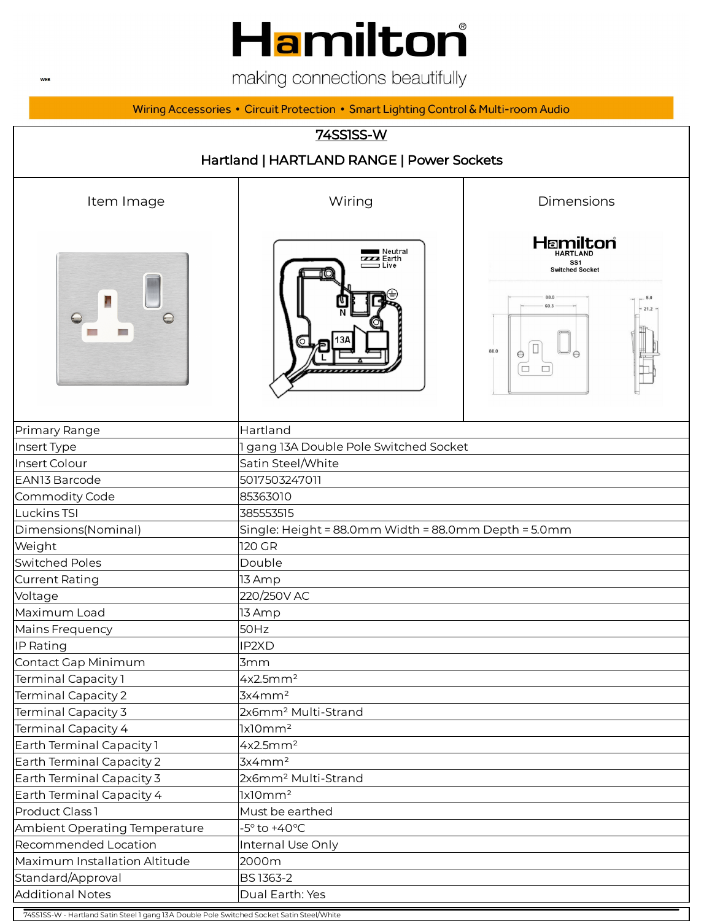# **Hamilton**

making connections beautifully

Wiring Accessories • Circuit Protection • Smart Lighting Control & Multi-room Audio

## 74SS1SS-W Hartland | HARTLAND RANGE | Power Sockets Item Image The Collection Communication and Miring the Dimensions **Hamilton** Neutral<br>Earth<br>Computer  $SS1$ Switched Socket 88.0 60.3  $\Theta$  $\frac{1}{\Theta}\sqrt{\square}$  $\Box$  $\Box$ Primary Range **Hartland** Insert Type 1 and 1 gang 13A Double Pole Switched Socket Insert Colour Satin Steel/White EAN13 Barcode 5017503247011 Commodity Code 85363010 Luckins TSI 385553515 Dimensions(Nominal) Single: Height = 88.0mm Width = 88.0mm Depth = 5.0mm Weight 120 GR Switched Poles and Double Current Rating 13 Amp Voltage 220/250V AC Maximum Load 13 Amp Mains Frequency **50Hz** IP Rating IP2XD Contact Gap Minimum **3mm** Terminal Capacity 1 and  $\mu$  4x2.5mm<sup>2</sup> Terminal Capacity 2 **3x4mm<sup>2</sup>** Terminal Capacity 3 2x6mm<sup>2</sup> Multi-Strand Terminal Capacity 4 1x10mm<sup>2</sup> Earth Terminal Capacity 1 4x2.5mm<sup>2</sup> Earth Terminal Capacity 2 **3x4mm<sup>2</sup>** Earth Terminal Capacity 3 **2x6mm<sup>2</sup> Multi-Strand** Earth Terminal Capacity 4 1x10mm<sup>2</sup> Product Class 1 Must be earthed Ambient Operating Temperature **Fig. 1-5°** to +40°C Recommended Location **Internal Use Only** Maximum Installation Altitude 2000m

74SS1SS-W - Hartland Satin Steel 1 gang 13A Double Pole Switched Socket Satin Steel/White Additional Notes **Dual Earth: Yes** 

Standard/Approval BS 1363-2

**WEB**